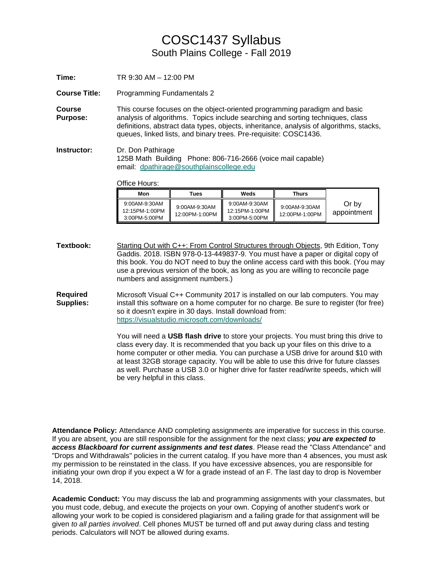## COSC1437 Syllabus South Plains College - Fall 2019

**Time:** TR 9:30 AM – 12:00 PM

**Course Title:** Programming Fundamentals 2

**Course Purpose:** This course focuses on the object-oriented programming paradigm and basic analysis of algorithms. Topics include searching and sorting techniques, class definitions, abstract data types, objects, inheritance, analysis of algorithms, stacks, queues, linked lists, and binary trees. Pre-requisite: COSC1436.

**Instructor:** Dr. Don Pathirage 125B Math Building Phone: 806-716-2666 (voice mail capable) email: [dpathirage@southplainscollege.edu](mailto:dpathirage@southplainscollege.edu)

Office Hours:

| Mon                                              | Tues                            | Weds                                                | Thurs                           |                      |
|--------------------------------------------------|---------------------------------|-----------------------------------------------------|---------------------------------|----------------------|
| 9:00AM-9:30AM<br>12:15PM-1:00PM<br>3:00PM-5:00PM | 9:00AM-9:30AM<br>12:00PM-1:00PM | 9:00AM-9:30AM<br>12:15PM-1:00PM<br>$3:00$ PM-5:00PM | 9:00AM-9:30AM<br>12:00PM-1:00PM | Or by<br>appointment |

Textbook: Starting Out with C++: From Control Structures through Objects, 9th Edition, Tony Gaddis. 2018. ISBN 978-0-13-449837-9. You must have a paper or digital copy of this book. You do NOT need to buy the online access card with this book. (You may use a previous version of the book, as long as you are willing to reconcile page numbers and assignment numbers.)

**Required Supplies:** Microsoft Visual C++ Community 2017 is installed on our lab computers. You may install this software on a home computer for no charge. Be sure to register (for free) so it doesn't expire in 30 days. Install download from: <https://visualstudio.microsoft.com/downloads/>

> You will need a **USB flash drive** to store your projects. You must bring this drive to class every day. It is recommended that you back up your files on this drive to a home computer or other media. You can purchase a USB drive for around \$10 with at least 32GB storage capacity. You will be able to use this drive for future classes as well. Purchase a USB 3.0 or higher drive for faster read/write speeds, which will be very helpful in this class.

**Attendance Policy:** Attendance AND completing assignments are imperative for success in this course. If you are absent, you are still responsible for the assignment for the next class; *you are expected to access Blackboard for current assignments and test dates*. Please read the "Class Attendance" and "Drops and Withdrawals" policies in the current catalog. If you have more than 4 absences, you must ask my permission to be reinstated in the class. If you have excessive absences, you are responsible for initiating your own drop if you expect a W for a grade instead of an F. The last day to drop is November 14, 2018.

**Academic Conduct:** You may discuss the lab and programming assignments with your classmates, but you must code, debug, and execute the projects on your own. Copying of another student's work or allowing your work to be copied is considered plagiarism and a failing grade for that assignment will be given *to all parties involved*. Cell phones MUST be turned off and put away during class and testing periods. Calculators will NOT be allowed during exams.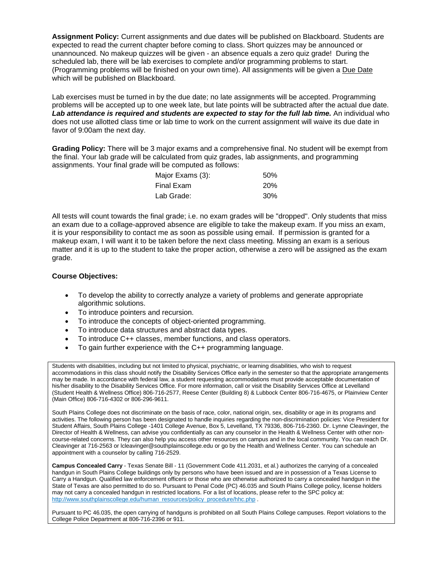**Assignment Policy:** Current assignments and due dates will be published on Blackboard. Students are expected to read the current chapter before coming to class. Short quizzes may be announced or unannounced. No makeup quizzes will be given - an absence equals a zero quiz grade! During the scheduled lab, there will be lab exercises to complete and/or programming problems to start. (Programming problems will be finished on your own time). All assignments will be given a Due Date which will be published on Blackboard.

Lab exercises must be turned in by the due date; no late assignments will be accepted. Programming problems will be accepted up to one week late, but late points will be subtracted after the actual due date. **Lab attendance is required and students are expected to stay for the full lab time. An individual who** does not use allotted class time or lab time to work on the current assignment will waive its due date in favor of 9:00am the next day.

**Grading Policy:** There will be 3 major exams and a comprehensive final. No student will be exempt from the final. Your lab grade will be calculated from quiz grades, lab assignments, and programming assignments. Your final grade will be computed as follows:

| Major Exams (3): | .50%       |
|------------------|------------|
| Final Exam       | <b>20%</b> |
| Lab Grade:       | 30%        |

All tests will count towards the final grade; i.e. no exam grades will be "dropped". Only students that miss an exam due to a collage-approved absence are eligible to take the makeup exam. If you miss an exam, it is your responsibility to contact me as soon as possible using email. If permission is granted for a makeup exam, I will want it to be taken before the next class meeting. Missing an exam is a serious matter and it is up to the student to take the proper action, otherwise a zero will be assigned as the exam grade.

## **Course Objectives:**

- To develop the ability to correctly analyze a variety of problems and generate appropriate algorithmic solutions.
- To introduce pointers and recursion.
- To introduce the concepts of object-oriented programming.
- To introduce data structures and abstract data types.
- To introduce C++ classes, member functions, and class operators.
- To gain further experience with the C++ programming language.

Students with disabilities, including but not limited to physical, psychiatric, or learning disabilities, who wish to request accommodations in this class should notify the Disability Services Office early in the semester so that the appropriate arrangements may be made. In accordance with federal law, a student requesting accommodations must provide acceptable documentation of his/her disability to the Disability Services Office. For more information, call or visit the Disability Services Office at Levelland (Student Health & Wellness Office) 806-716-2577, Reese Center (Building 8) & Lubbock Center 806-716-4675, or Plainview Center (Main Office) 806-716-4302 or 806-296-9611.

South Plains College does not discriminate on the basis of race, color, national origin, sex, disability or age in its programs and activities. The following person has been designated to handle inquiries regarding the non-discrimination policies: Vice President for Student Affairs, South Plains College -1401 College Avenue, Box 5, Levelland, TX 79336, 806-716-2360. Dr. Lynne Cleavinger, the Director of Health & Wellness, can advise you confidentially as can any counselor in the Health & Wellness Center with other noncourse-related concerns. They can also help you access other resources on campus and in the local community. You can reach Dr. Cleavinger at 716-2563 o[r lcleavinger@southplainscollege.edu](mailto:lcleavinger@southplainscollege.edu) or go by the Health and Wellness Center. You can schedule an appointment with a counselor by calling 716-2529.

**Campus Concealed Carry** - Texas Senate Bill - 11 (Government Code 411.2031, et al.) authorizes the carrying of a concealed handgun in South Plains College buildings only by persons who have been issued and are in possession of a Texas License to Carry a Handgun. Qualified law enforcement officers or those who are otherwise authorized to carry a concealed handgun in the State of Texas are also permitted to do so. Pursuant to Penal Code (PC) 46.035 and South Plains College policy, license holders may not carry a concealed handgun in restricted locations. For a list of locations, please refer to the SPC policy at: [http://www.southplainscollege.edu/human\\_resources/policy\\_procedure/hhc.php](http://www.southplainscollege.edu/human_resources/policy_procedure/hhc.php) .

Pursuant to PC 46.035, the open carrying of handguns is prohibited on all South Plains College campuses. Report violations to the College Police Department at 806-716-2396 or 911.